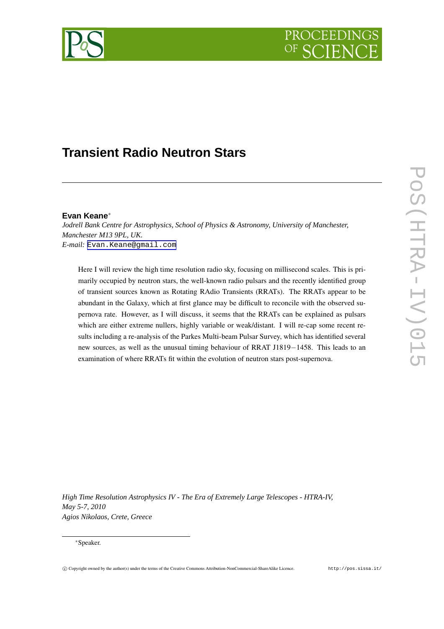



# **Transient Radio Neutron Stars**

## **Evan Keane**<sup>∗</sup>

*Jodrell Bank Centre for Astrophysics, School of Physics & Astronomy, University of Manchester, Manchester M13 9PL, UK. E-mail:* [Evan.Keane@gmail.com](mailto:Evan.Keane@gmail.com)

Here I will review the high time resolution radio sky, focusing on millisecond scales. This is primarily occupied by neutron stars, the well-known radio pulsars and the recently identified group of transient sources known as Rotating RAdio Transients (RRATs). The RRATs appear to be abundant in the Galaxy, which at first glance may be difficult to reconcile with the observed supernova rate. However, as I will discuss, it seems that the RRATs can be explained as pulsars which are either extreme nullers, highly variable or weak/distant. I will re-cap some recent results including a re-analysis of the Parkes Multi-beam Pulsar Survey, which has identified several new sources, as well as the unusual timing behaviour of RRAT J1819−1458. This leads to an examination of where RRATs fit within the evolution of neutron stars post-supernova.

*High Time Resolution Astrophysics IV - The Era of Extremely Large Telescopes - HTRA-IV, May 5-7, 2010 Agios Nikolaos, Crete, Greece*

<sup>∗</sup>Speaker.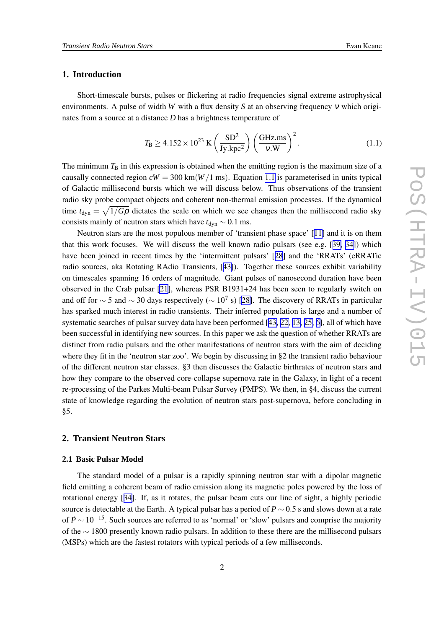## <span id="page-1-0"></span>**1. Introduction**

Short-timescale bursts, pulses or flickering at radio frequencies signal extreme astrophysical environments. A pulse of width *W* with a flux density *S* at an observing frequency <sup>ν</sup> which originates from a source at a distance *D* has a brightness temperature of

$$
T_{\rm B} \ge 4.152 \times 10^{23} \text{ K} \left(\frac{\text{SD}^2}{\text{Jy.kpc}^2}\right) \left(\frac{\text{GHz} \cdot \text{ms}}{v \cdot \text{W}}\right)^2. \tag{1.1}
$$

The minimum  $T<sub>B</sub>$  in this expression is obtained when the emitting region is the maximum size of a causally connected region  $cW = 300 \text{ km} (W/1 \text{ ms})$ . Equation 1.1 is parameterised in units typical of Galactic millisecond bursts which we will discuss below. Thus observations of the transient radio sky probe compact objects and coherent non-thermal emission processes. If the dynamical time  $t_{\text{dyn}} = \sqrt{1/G\rho}$  dictates the scale on which we see changes then the millisecond radio sky consists mainly of neutron stars which have  $t_{dyn} \sim 0.1$  ms.

Neutron stars are the most populous member of 'transient phase space' [[11\]](#page-13-0) and it is on them that this work focuses. We will discuss the well known radio pulsars (see e.g. [[39,](#page-14-0) [34\]](#page-14-0)) which have been joined in recent times by the 'intermittent pulsars' [[28](#page-14-0)] and the 'RRATs' (eRRATic radio sources, aka Rotating RAdio Transients, [[43\]](#page-14-0)). Together these sources exhibit variability on timescales spanning 16 orders of magnitude. Giant pulses of nanosecond duration have been observed in the Crab pulsar [\[21](#page-13-0)], whereas PSR B1931+24 has been seen to regularly switch on and off for  $\sim$  5 and  $\sim$  30 days respectively ( $\sim$  10<sup>7</sup> s) [[28\]](#page-14-0). The discovery of RRATs in particular has sparked much interest in radio transients. Their inferred population is large and a number of systematic searches of pulsar survey data have been performed [[43,](#page-14-0) [22,](#page-13-0) [13,](#page-13-0) [25,](#page-13-0) [6\]](#page-12-0), all of which have been successful in identifying new sources. In this paper we ask the question of whether RRATs are distinct from radio pulsars and the other manifestations of neutron stars with the aim of deciding where they fit in the 'neutron star zoo'. We begin by discussing in §2 the transient radio behaviour of the different neutron star classes. §3 then discusses the Galactic birthrates of neutron stars and how they compare to the observed core-collapse supernova rate in the Galaxy, in light of a recent re-processing of the Parkes Multi-beam Pulsar Survey (PMPS). We then, in §4, discuss the current state of knowledge regarding the evolution of neutron stars post-supernova, before concluding in §5.

## **2. Transient Neutron Stars**

#### **2.1 Basic Pulsar Model**

The standard model of a pulsar is a rapidly spinning neutron star with a dipolar magnetic field emitting a coherent beam of radio emission along its magnetic poles powered by the loss of rotational energy [[34\]](#page-14-0). If, as it rotates, the pulsar beam cuts our line of sight, a highly periodic source is detectable at the Earth. A typical pulsar has a period of  $P \sim 0.5$  s and slows down at a rate of  $\dot{P} \sim 10^{-15}$ . Such sources are referred to as 'normal' or 'slow' pulsars and comprise the majority of the ∼ 1800 presently known radio pulsars. In addition to these there are the millisecond pulsars (MSPs) which are the fastest rotators with typical periods of a few milliseconds.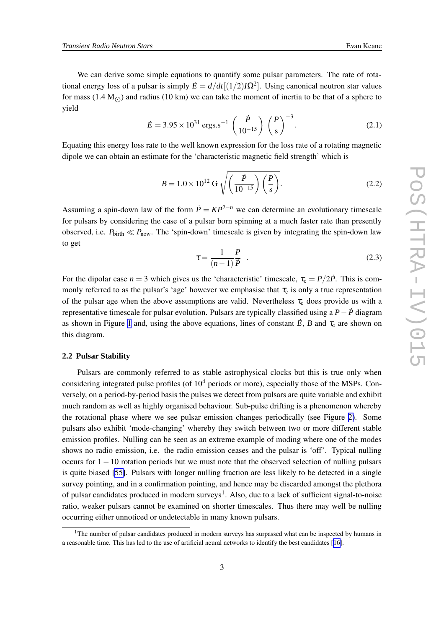<span id="page-2-0"></span>We can derive some simple equations to quantify some pulsar parameters. The rate of rotational energy loss of a pulsar is simply  $\dot{E} = d/dt[(1/2)I\Omega^2]$ . Using canonical neutron star values for mass  $(1.4 M_{\odot})$  and radius  $(10 km)$  we can take the moment of inertia to be that of a sphere to yield

$$
\dot{E} = 3.95 \times 10^{31} \text{ ergs.s}^{-1} \left(\frac{\dot{P}}{10^{-15}}\right) \left(\frac{P}{s}\right)^{-3}.
$$
 (2.1)

Equating this energy loss rate to the well known expression for the loss rate of a rotating magnetic dipole we can obtain an estimate for the 'characteristic magnetic field strength' which is

$$
B = 1.0 \times 10^{12} \text{ G } \sqrt{\left(\frac{\dot{P}}{10^{-15}}\right) \left(\frac{P}{\text{s}}\right)}.
$$
 (2.2)

Assuming a spin-down law of the form  $\dot{P} = KP^{2-n}$  we can determine an evolutionary timescale for pulsars by considering the case of a pulsar born spinning at a much faster rate than presently observed, i.e.  $P_{\text{birth}} \ll P_{\text{now}}$ . The 'spin-down' timescale is given by integrating the spin-down law to get

$$
\tau = \frac{1}{(n-1)} \frac{P}{P} \tag{2.3}
$$

For the dipolar case  $n = 3$  which gives us the 'characteristic' timescale,  $\tau_c = P/2\dot{P}$ . This is commonly referred to as the pulsar's 'age' however we emphasise that  $\tau_c$  is only a true representation of the pulsar age when the above assumptions are valid. Nevertheless  $\tau_c$  does provide us with a representative timescale for pulsar evolution. Pulsars are typically classified using a *P*− *P*˙ diagram as shown in Figure [1](#page-3-0) and, using the above equations, lines of constant  $\dot{E}$ , *B* and  $\tau_c$  are shown on this diagram.

#### **2.2 Pulsar Stability**

Pulsars are commonly referred to as stable astrophysical clocks but this is true only when considering integrated pulse profiles (of  $10<sup>4</sup>$  periods or more), especially those of the MSPs. Conversely, on a period-by-period basis the pulses we detect from pulsars are quite variable and exhibit much random as well as highly organised behaviour. Sub-pulse drifting is a phenomenon whereby the rotational phase where we see pulsar emission changes periodically (see Figure [2\)](#page-4-0). Some pulsars also exhibit 'mode-changing' whereby they switch between two or more different stable emission profiles. Nulling can be seen as an extreme example of moding where one of the modes shows no radio emission, i.e. the radio emission ceases and the pulsar is 'off'. Typical nulling occurs for 1−10 rotation periods but we must note that the observed selection of nulling pulsars is quite biased [[55\]](#page-15-0). Pulsars with longer nulling fraction are less likely to be detected in a single survey pointing, and in a confirmation pointing, and hence may be discarded amongst the plethora of pulsar candidates produced in modern surveys<sup>1</sup>. Also, due to a lack of sufficient signal-to-noise ratio, weaker pulsars cannot be examined on shorter timescales. Thus there may well be nulling occurring either unnoticed or undetectable in many known pulsars.

<sup>&</sup>lt;sup>1</sup>The number of pulsar candidates produced in modern surveys has surpassed what can be inspected by humans in a reasonable time. This has led to the use of artificial neural networks to identify the best candidates [[16\]](#page-13-0).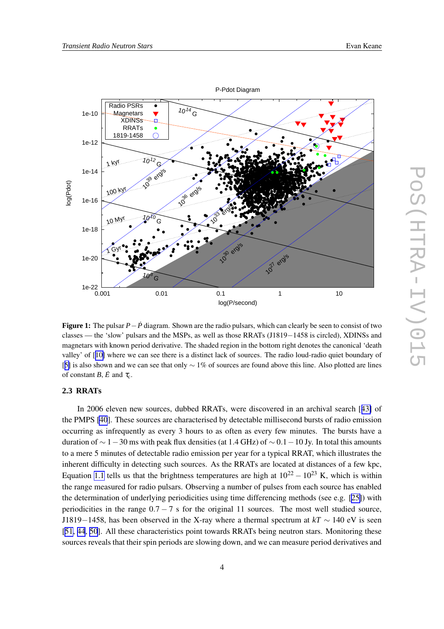<span id="page-3-0"></span>

**Figure 1:** The pulsar *P*−*P*˙ diagram. Shown are the radio pulsars, which can clearly be seen to consist of two classes — the 'slow' pulsars and the MSPs, as well as those RRATs (J1819−1458 is circled), XDINSs and magnetars with known period derivative. The shaded region in the bottom right denotes the canonical 'death valley' of [[10\]](#page-13-0) where we can see there is a distinct lack of sources. The radio loud-radio quiet boundary of [[5\]](#page-12-0) is also shown and we can see that only ∼ 1% of sources are found above this line. Also plotted are lines of constant *B*,  $\dot{E}$  and  $\tau_c$ .

0.001 0.01 0.1 1 10

log(P/second)

10 erg/s

**1021** erg/s

## **2.3 RRATs**

—ا 1e-22<br>0.001

10 8  $\overline{G}$ 

1e-20

 $\sqrt{GM}$ 

log(Pdot)

In 2006 eleven new sources, dubbed RRATs, were discovered in an archival search [[43\]](#page-14-0) of the PMPS [\[40](#page-14-0)]. These sources are characterised by detectable millisecond bursts of radio emission occurring as infrequently as every 3 hours to as often as every few minutes. The bursts have a duration of  $\sim$  1 − 30 ms with peak flux densities (at 1.4 GHz) of  $\sim$  0.1 − 10 Jy. In total this amounts to a mere 5 minutes of detectable radio emission per year for a typical RRAT, which illustrates the inherent difficulty in detecting such sources. As the RRATs are located at distances of a few kpc, Equation [1.1](#page-1-0) tells us that the brightness temperatures are high at  $10^{22} - 10^{23}$  K, which is within the range measured for radio pulsars. Observing a number of pulses from each source has enabled the determination of underlying periodicities using time differencing methods (see e.g.  $[25]$  $[25]$ ) with periodicities in the range  $0.7 - 7$  s for the original 11 sources. The most well studied source, J1819−1458, has been observed in the X-ray where a thermal spectrum at  $kT \sim 140$  eV is seen [[51,](#page-15-0) [44](#page-14-0), [50\]](#page-15-0). All these characteristics point towards RRATs being neutron stars. Monitoring these sources reveals that their spin periods are slowing down, and we can measure period derivatives and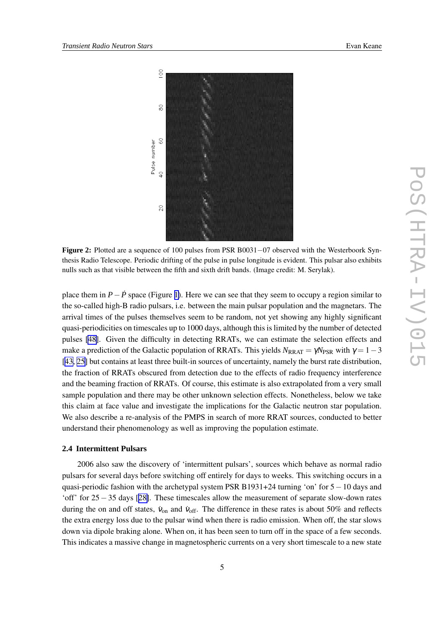<span id="page-4-0"></span>

**Figure 2:** Plotted are a sequence of 100 pulses from PSR B0031−07 observed with the Westerboork Synthesis Radio Telescope. Periodic drifting of the pulse in pulse longitude is evident. This pulsar also exhibits nulls such as that visible between the fifth and sixth drift bands. (Image credit: M. Serylak).

place them in  $P - \dot{P}$  space (Figure [1\)](#page-3-0). Here we can see that they seem to occupy a region similar to the so-called high-B radio pulsars, i.e. between the main pulsar population and the magnetars. The arrival times of the pulses themselves seem to be random, not yet showing any highly significant quasi-periodicities on timescales up to 1000 days, although this is limited by the number of detected pulses [\[48\]](#page-15-0). Given the difficulty in detecting RRATs, we can estimate the selection effects and make a prediction of the Galactic population of RRATs. This yields  $N_{RRAT} = \gamma N_{PSR}$  with  $\gamma = 1 - 3$ [[43,](#page-14-0) [25\]](#page-13-0) but contains at least three built-in sources of uncertainty, namely the burst rate distribution, the fraction of RRATs obscured from detection due to the effects of radio frequency interference and the beaming fraction of RRATs. Of course, this estimate is also extrapolated from a very small sample population and there may be other unknown selection effects. Nonetheless, below we take this claim at face value and investigate the implications for the Galactic neutron star population. We also describe a re-analysis of the PMPS in search of more RRAT sources, conducted to better understand their phenomenology as well as improving the population estimate.

#### **2.4 Intermittent Pulsars**

2006 also saw the discovery of 'intermittent pulsars', sources which behave as normal radio pulsars for several days before switching off entirely for days to weeks. This switching occurs in a quasi-periodic fashion with the archetypal system PSR B1931+24 turning 'on' for 5−10 days and 'off' for 25−35 days [[28\]](#page-14-0). These timescales allow the measurement of separate slow-down rates during the on and off states,  $\dot{v}_{on}$  and  $\dot{v}_{off}$ . The difference in these rates is about 50% and reflects the extra energy loss due to the pulsar wind when there is radio emission. When off, the star slows down via dipole braking alone. When on, it has been seen to turn off in the space of a few seconds. This indicates a massive change in magnetospheric currents on a very short timescale to a new state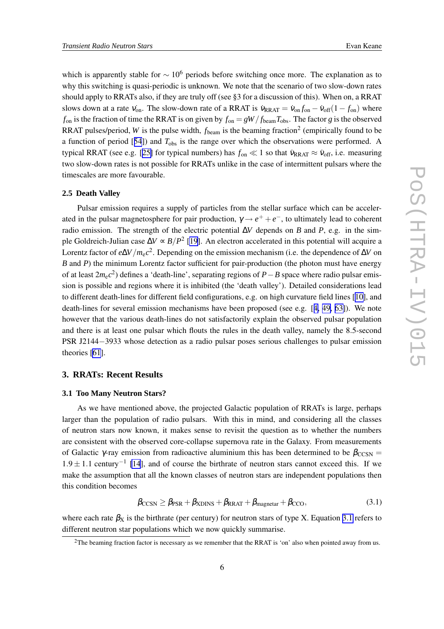which is apparently stable for  $\sim 10^6$  periods before switching once more. The explanation as to why this switching is quasi-periodic is unknown. We note that the scenario of two slow-down rates should apply to RRATs also, if they are truly off (see §3 for a discussion of this). When on, a RRAT slows down at a rate  $v_{on}$ . The slow-down rate of a RRAT is  $v_{RRAT} = v_{on} f_{on} - v_{off} (1 - f_{on})$  where  $f_{\text{on}}$  is the fraction of time the RRAT is on given by  $f_{\text{on}} = gW/f_{\text{beam}}T_{\text{obs}}$ . The factor *g* is the observed RRAT pulses/period, *W* is the pulse width,  $f_{\text{beam}}$  is the beaming fraction<sup>2</sup> (empirically found to be a function of period [[54](#page-15-0)]) and  $T_{obs}$  is the range over which the observations were performed. A typical RRAT (see e.g. [[25\]](#page-13-0) for typical numbers) has  $f_{on} \ll 1$  so that  $\dot{v}_{RRAT} \approx \dot{v}_{off}$ , i.e. measuring two slow-down rates is not possible for RRATs unlike in the case of intermittent pulsars where the timescales are more favourable.

#### **2.5 Death Valley**

Pulsar emission requires a supply of particles from the stellar surface which can be accelerated in the pulsar magnetosphere for pair production,  $\gamma \rightarrow e^+ + e^-$ , to ultimately lead to coherent radio emission. The strength of the electric potential ∆*V* depends on *B* and *P*, e.g. in the simple Goldreich-Julian case ∆*V* ∝ *B*/*P* 2 [\[19\]](#page-13-0). An electron accelerated in this potential will acquire a Lorentz factor of *e*∆*V*/*m*e*c* 2 . Depending on the emission mechanism (i.e. the dependence of ∆*V* on *B* and *P*) the minimum Lorentz factor sufficient for pair-production (the photon must have energy of at least 2*m*e*c* 2 ) defines a 'death-line', separating regions of *P*−*B* space where radio pulsar emission is possible and regions where it is inhibited (the 'death valley'). Detailed considerations lead to different death-lines for different field configurations, e.g. on high curvature field lines [[10\]](#page-13-0), and death-lines for several emission mechanisms have been proposed (see e.g. [[4,](#page-12-0) [49,](#page-15-0) [63\]](#page-15-0)). We note however that the various death-lines do not satisfactorily explain the observed pulsar population and there is at least one pulsar which flouts the rules in the death valley, namely the 8.5-second PSR J2144−3933 whose detection as a radio pulsar poses serious challenges to pulsar emission theories [\[61](#page-15-0)].

#### **3. RRATs: Recent Results**

#### **3.1 Too Many Neutron Stars?**

As we have mentioned above, the projected Galactic population of RRATs is large, perhaps larger than the population of radio pulsars. With this in mind, and considering all the classes of neutron stars now known, it makes sense to revisit the question as to whether the numbers are consistent with the observed core-collapse supernova rate in the Galaxy. From measurements of Galactic  $\gamma$ -ray emission from radioactive aluminium this has been determined to be  $\beta_{\text{CCSN}} =$  $1.9 \pm 1.1$  century<sup>-1</sup> [\[14](#page-13-0)], and of course the birthrate of neutron stars cannot exceed this. If we make the assumption that all the known classes of neutron stars are independent populations then this condition becomes

$$
\beta_{\text{CCSN}} \ge \beta_{\text{PSR}} + \beta_{\text{XDINS}} + \beta_{\text{RRAT}} + \beta_{\text{magnetar}} + \beta_{\text{CCO}},\tag{3.1}
$$

where each rate  $\beta_X$  is the birthrate (per century) for neutron stars of type X. Equation 3.1 refers to different neutron star populations which we now quickly summarise.

<sup>&</sup>lt;sup>2</sup>The beaming fraction factor is necessary as we remember that the RRAT is 'on' also when pointed away from us.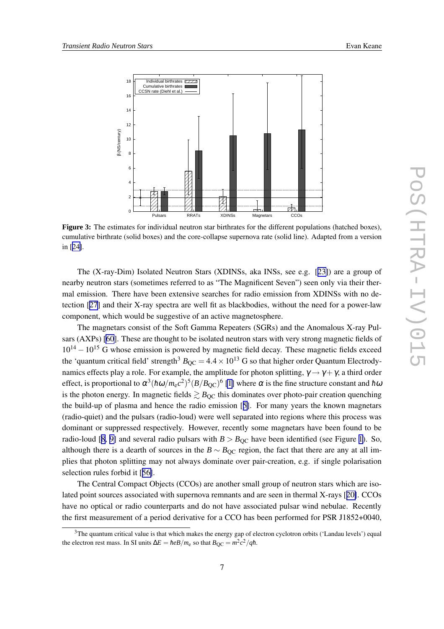<span id="page-6-0"></span>

**Figure 3:** The estimates for individual neutron star birthrates for the different populations (hatched boxes), cumulative birthrate (solid boxes) and the core-collapse supernova rate (solid line). Adapted from a version in [[24\]](#page-13-0).

The (X-ray-Dim) Isolated Neutron Stars (XDINSs, aka INSs, see e.g. [[23\]](#page-13-0)) are a group of nearby neutron stars (sometimes referred to as "The Magnificent Seven") seen only via their thermal emission. There have been extensive searches for radio emission from XDINSs with no detection [[27\]](#page-13-0) and their X-ray spectra are well fit as blackbodies, without the need for a power-law component, which would be suggestive of an active magnetosphere.

The magnetars consist of the Soft Gamma Repeaters (SGRs) and the Anomalous X-ray Pulsars (AXPs) [\[60\]](#page-15-0). These are thought to be isolated neutron stars with very strong magnetic fields of  $10^{14} - 10^{15}$  G whose emission is powered by magnetic field decay. These magnetic fields exceed the 'quantum critical field' strength<sup>3</sup>  $B_{OC} = 4.4 \times 10^{13}$  G so that higher order Quantum Electrodynamics effects play a role. For example, the amplitude for photon splitting,  $\gamma \rightarrow \gamma + \gamma$ , a third order effect, is proportional to  $\alpha^3(\hbar\omega/m_{\rm e}c^2)^5(B/B_{\rm QC})^6$  [\[1\]](#page-12-0) where  $\alpha$  is the fine structure constant and  $\hbar\omega$ is the photon energy. In magnetic fields  $\geq B_{\text{OC}}$  this dominates over photo-pair creation quenching the build-up of plasma and hence the radio emission [[5\]](#page-12-0). For many years the known magnetars (radio-quiet) and the pulsars (radio-loud) were well separated into regions where this process was dominant or suppressed respectively. However, recently some magnetars have been found to be radio-loud [[8](#page-13-0), [9\]](#page-13-0) and several radio pulsars with  $B > B_{\text{OC}}$  have been identified (see Figure [1](#page-3-0)). So, although there is a dearth of sources in the  $B \sim B_{\text{OC}}$  region, the fact that there are any at all implies that photon splitting may not always dominate over pair-creation, e.g. if single polarisation selection rules forbid it [[56\]](#page-15-0).

The Central Compact Objects (CCOs) are another small group of neutron stars which are isolated point sources associated with supernova remnants and are seen in thermal X-rays [[20\]](#page-13-0). CCOs have no optical or radio counterparts and do not have associated pulsar wind nebulae. Recently the first measurement of a period derivative for a CCO has been performed for PSR J1852+0040,

 $3$ The quantum critical value is that which makes the energy gap of electron cyclotron orbits ('Landau levels') equal the electron rest mass. In SI units  $\Delta E = \hbar e B / m_e$  so that  $B_{\rm QC} = m^2 c^2 / q \hbar$ .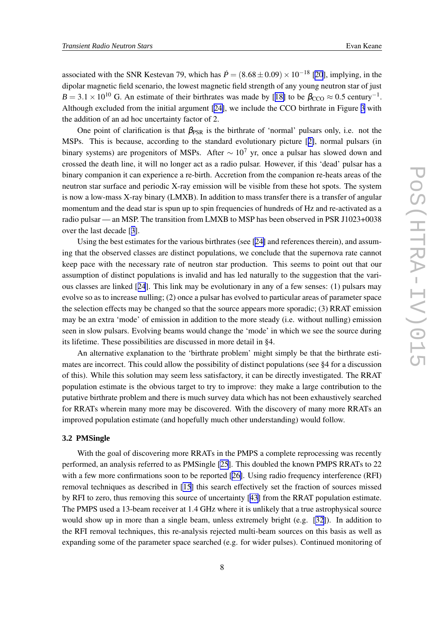associated with the SNR Kestevan 79, which has  $\dot{P} = (8.68 \pm 0.09) \times 10^{-18}$  [\[20](#page-13-0)], implying, in the dipolar magnetic field scenario, the lowest magnetic field strength of any young neutron star of just  $B = 3.1 \times 10^{10}$  G. An estimate of their birthrates was made by [[18\]](#page-13-0) to be  $\beta_{\text{CCO}} \approx 0.5$  century<sup>-1</sup>. Although excluded from the initial argument [[24\]](#page-13-0), we include the CCO birthrate in Figure [3](#page-6-0) with the addition of an ad hoc uncertainty factor of 2.

One point of clarification is that  $\beta_{PSR}$  is the birthrate of 'normal' pulsars only, i.e. not the MSPs. This is because, according to the standard evolutionary picture [[2\]](#page-12-0), normal pulsars (in binary systems) are progenitors of MSPs. After  $\sim 10^7$  yr, once a pulsar has slowed down and crossed the death line, it will no longer act as a radio pulsar. However, if this 'dead' pulsar has a binary companion it can experience a re-birth. Accretion from the companion re-heats areas of the neutron star surface and periodic X-ray emission will be visible from these hot spots. The system is now a low-mass X-ray binary (LMXB). In addition to mass transfer there is a transfer of angular momentum and the dead star is spun up to spin frequencies of hundreds of Hz and re-activated as a radio pulsar — an MSP. The transition from LMXB to MSP has been observed in PSR J1023+0038 over the last decade [[3](#page-12-0)].

Using the best estimates for the various birthrates (see [[24\]](#page-13-0) and references therein), and assuming that the observed classes are distinct populations, we conclude that the supernova rate cannot keep pace with the necessary rate of neutron star production. This seems to point out that our assumption of distinct populations is invalid and has led naturally to the suggestion that the various classes are linked [[24](#page-13-0)]. This link may be evolutionary in any of a few senses: (1) pulsars may evolve so as to increase nulling; (2) once a pulsar has evolved to particular areas of parameter space the selection effects may be changed so that the source appears more sporadic; (3) RRAT emission may be an extra 'mode' of emission in addition to the more steady (i.e. without nulling) emission seen in slow pulsars. Evolving beams would change the 'mode' in which we see the source during its lifetime. These possibilities are discussed in more detail in §4.

An alternative explanation to the 'birthrate problem' might simply be that the birthrate estimates are incorrect. This could allow the possibility of distinct populations (see §4 for a discussion of this). While this solution may seem less satisfactory, it can be directly investigated. The RRAT population estimate is the obvious target to try to improve: they make a large contribution to the putative birthrate problem and there is much survey data which has not been exhaustively searched for RRATs wherein many more may be discovered. With the discovery of many more RRATs an improved population estimate (and hopefully much other understanding) would follow.

#### **3.2 PMSingle**

With the goal of discovering more RRATs in the PMPS a complete reprocessing was recently performed, an analysis referred to as PMSingle [\[25](#page-13-0)]. This doubled the known PMPS RRATs to 22 with a few more confirmations soon to be reported [[26\]](#page-13-0). Using radio frequency interference (RFI) removal techniques as described in [\[15](#page-13-0)] this search effectively set the fraction of sources missed by RFI to zero, thus removing this source of uncertainty [[43\]](#page-14-0) from the RRAT population estimate. The PMPS used a 13-beam receiver at 1.4 GHz where it is unlikely that a true astrophysical source would show up in more than a single beam, unless extremely bright (e.g. [\[32\]](#page-14-0)). In addition to the RFI removal techniques, this re-analysis rejected multi-beam sources on this basis as well as expanding some of the parameter space searched (e.g. for wider pulses). Continued monitoring of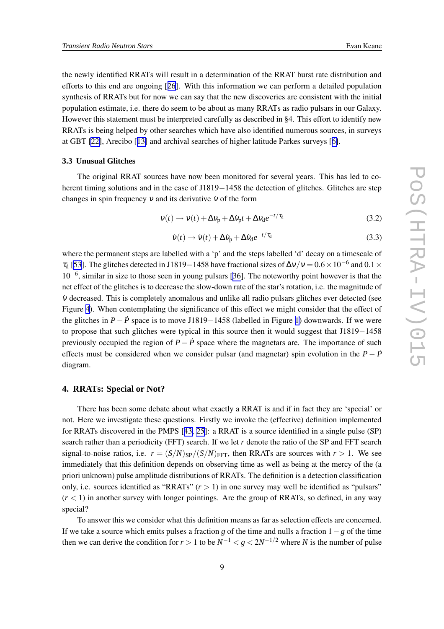the newly identified RRATs will result in a determination of the RRAT burst rate distribution and efforts to this end are ongoing [[26](#page-13-0)]. With this information we can perform a detailed population synthesis of RRATs but for now we can say that the new discoveries are consistent with the initial population estimate, i.e. there do seem to be about as many RRATs as radio pulsars in our Galaxy. However this statement must be interpreted carefully as described in §4. This effort to identify new RRATs is being helped by other searches which have also identified numerous sources, in surveys at GBT [\[22\]](#page-13-0), Arecibo [[13\]](#page-13-0) and archival searches of higher latitude Parkes surveys [[6\]](#page-12-0).

#### **3.3 Unusual Glitches**

The original RRAT sources have now been monitored for several years. This has led to coherent timing solutions and in the case of J1819−1458 the detection of glitches. Glitches are step changes in spin frequency  $v$  and its derivative  $\dot{v}$  of the form

$$
v(t) \rightarrow v(t) + \Delta v_{\rm p} + \Delta \dot{v}_{\rm p} t + \Delta v_{\rm d} e^{-t/\tau_{\rm d}}
$$
\n(3.2)

$$
\dot{v}(t) \rightarrow \dot{v}(t) + \Delta \dot{v}_{\rm p} + \Delta \dot{v}_{\rm d} e^{-t/\tau_{\rm d}} \tag{3.3}
$$

where the permanent steps are labelled with a 'p' and the steps labelled 'd' decay on a timescale of  $\tau_d$  [[53](#page-15-0)]. The glitches detected in J1819–1458 have fractional sizes of  $\Delta v/v = 0.6 \times 10^{-6}$  and  $0.1 \times$ 10−<sup>6</sup> , similar in size to those seen in young pulsars [[36\]](#page-14-0). The noteworthy point however is that the net effect of the glitches is to decrease the slow-down rate of the star's rotation, i.e. the magnitude of  $\dot{v}$  decreased. This is completely anomalous and unlike all radio pulsars glitches ever detected (see Figure [4](#page-9-0)). When contemplating the significance of this effect we might consider that the effect of the glitches in  $P - \dot{P}$  space is to move J1819−1458 (labelled in Figure [1\)](#page-3-0) downwards. If we were to propose that such glitches were typical in this source then it would suggest that J1819−1458 previously occupied the region of  $P - \dot{P}$  space where the magnetars are. The importance of such effects must be considered when we consider pulsar (and magnetar) spin evolution in the  $P - P$ <sup>o</sup> diagram.

### **4. RRATs: Special or Not?**

There has been some debate about what exactly a RRAT is and if in fact they are 'special' or not. Here we investigate these questions. Firstly we invoke the (effective) definition implemented for RRATs discovered in the PMPS [[43,](#page-14-0) [25](#page-13-0)]: a RRAT is a source identified in a single pulse (SP) search rather than a periodicity (FFT) search. If we let *r* denote the ratio of the SP and FFT search signal-to-noise ratios, i.e.  $r = (S/N)_{SP}/(S/N)_{FFT}$ , then RRATs are sources with  $r > 1$ . We see immediately that this definition depends on observing time as well as being at the mercy of the (a priori unknown) pulse amplitude distributions of RRATs. The definition is a detection classification only, i.e. sources identified as "RRATs"  $(r > 1)$  in one survey may well be identified as "pulsars"  $(r < 1)$  in another survey with longer pointings. Are the group of RRATs, so defined, in any way special?

To answer this we consider what this definition means as far as selection effects are concerned. If we take a source which emits pulses a fraction *g* of the time and nulls a fraction 1−*g* of the time then we can derive the condition for  $r > 1$  to be  $N^{-1} < g < 2N^{-1/2}$  where N is the number of pulse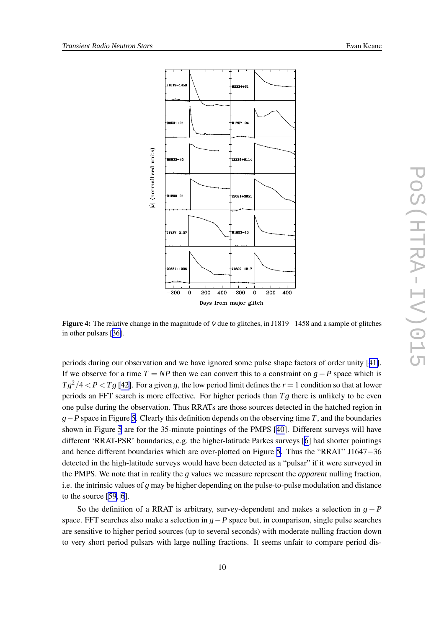<span id="page-9-0"></span>

**Figure 4:** The relative change in the magnitude of  $\dot{v}$  due to glitches, in J1819−1458 and a sample of glitches in other pulsars [[36\]](#page-14-0).

periods during our observation and we have ignored some pulse shape factors of order unity [[41\]](#page-14-0). If we observe for a time  $T = NP$  then we can convert this to a constraint on  $g - P$  space which is  $Tg^2/4 < P < Tg$  [[42\]](#page-14-0). For a given *g*, the low period limit defines the *r* = 1 condition so that at lower periods an FFT search is more effective. For higher periods than  $Tg$  there is unlikely to be even one pulse during the observation. Thus RRATs are those sources detected in the hatched region in *g*−*P* space in Figure [5.](#page-10-0) Clearly this definition depends on the observing time *T*, and the boundaries shown in Figure [5](#page-10-0) are for the 35-minute pointings of the PMPS [[40\]](#page-14-0). Different surveys will have different 'RRAT-PSR' boundaries, e.g. the higher-latitude Parkes surveys [\[6\]](#page-12-0) had shorter pointings and hence different boundaries which are over-plotted on Figure [5](#page-10-0). Thus the "RRAT" J1647−36 detected in the high-latitude surveys would have been detected as a "pulsar" if it were surveyed in the PMPS. We note that in reality the *g* values we measure represent the *apparent* nulling fraction, i.e. the intrinsic values of *g* may be higher depending on the pulse-to-pulse modulation and distance to the source [\[59](#page-15-0), [6](#page-12-0)].

So the definition of a RRAT is arbitrary, survey-dependent and makes a selection in  $g - P$ space. FFT searches also make a selection in *g*−*P* space but, in comparison, single pulse searches are sensitive to higher period sources (up to several seconds) with moderate nulling fraction down to very short period pulsars with large nulling fractions. It seems unfair to compare period dis-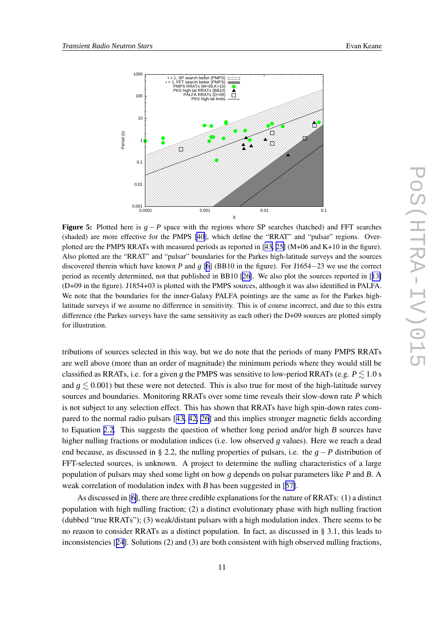<span id="page-10-0"></span>

**Figure 5:** Plotted here is  $g - P$  space with the regions where SP searches (hatched) and FFT searches (shaded) are more effective for the PMPS [[40\]](#page-14-0), which define the "RRAT" and "pulsar" regions. Overplotted are the PMPS RRATs with measured periods as reported in [[43,](#page-14-0) [25\]](#page-13-0) (M+06 and K+10 in the figure). Also plotted are the "RRAT" and "pulsar" boundaries for the Parkes high-latitude surveys and the sources discovered therein which have known *P* and *g* [\[6](#page-12-0)] (BB10 in the figure). For J1654−23 we use the correct period as recently determined, not that published in BB10 [\[26](#page-13-0)]. We also plot the sources reported in [[13\]](#page-13-0) (D+09 in the figure). J1854+03 is plotted with the PMPS sources, although it was also identified in PALFA. We note that the boundaries for the inner-Galaxy PALFA pointings are the same as for the Parkes highlatitude surveys if we assume no difference in sensitivity. This is of course incorrect, and due to this extra difference (the Parkes surveys have the same sensitivity as each other) the D+09 sources are plotted simply for illustration.

tributions of sources selected in this way, but we do note that the periods of many PMPS RRATs are well above (more than an order of magnitude) the minimum periods where they would still be classified as RRATs, i.e. for a given *g* the PMPS was sensitive to low-period RRATs (e.g.  $P \leq 1.0$  s and  $g \leq 0.001$ ) but these were not detected. This is also true for most of the high-latitude survey sources and boundaries. Monitoring RRATs over some time reveals their slow-down rate  $\dot{P}$  which is not subject to any selection effect. This has shown that RRATs have high spin-down rates compared to the normal radio pulsars [[43,](#page-14-0) [42,](#page-14-0) [26](#page-13-0)] and this implies stronger magnetic fields according to Equation [2.2](#page-2-0). This suggests the question of whether long period and/or high *B* sources have higher nulling fractions or modulation indices (i.e. low observed *g* values). Here we reach a dead end because, as discussed in § 2.2, the nulling properties of pulsars, i.e. the *g* − *P* distribution of FFT-selected sources, is unknown. A project to determine the nulling characteristics of a large population of pulsars may shed some light on how *g* depends on pulsar parameters like *P* and *B*. A weak correlation of modulation index with *B* has been suggested in [[57\]](#page-15-0).

As discussed in [\[6\]](#page-12-0), there are three credible explanations for the nature of RRATs: (1) a distinct population with high nulling fraction; (2) a distinct evolutionary phase with high nulling fraction (dubbed "true RRATs"); (3) weak/distant pulsars with a high modulation index. There seems to be no reason to consider RRATs as a distinct population. In fact, as discussed in § 3.1, this leads to inconsistencies [[24](#page-13-0)]. Solutions (2) and (3) are both consistent with high observed nulling fractions,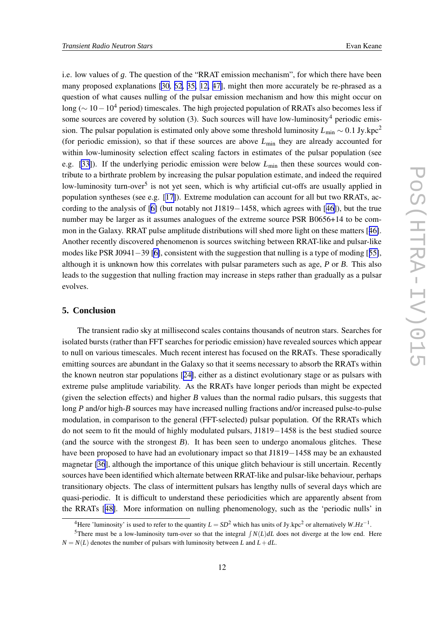i.e. low values of *g*. The question of the "RRAT emission mechanism", for which there have been many proposed explanations [\[30](#page-14-0), [62](#page-15-0), [35,](#page-14-0) [12,](#page-13-0) [47\]](#page-14-0), might then more accurately be re-phrased as a question of what causes nulling of the pulsar emission mechanism and how this might occur on long ( $\sim 10-10^4$  period) timescales. The high projected population of RRATs also becomes less if some sources are covered by solution  $(3)$ . Such sources will have low-luminosity<sup>4</sup> periodic emission. The pulsar population is estimated only above some threshold luminosity *L*min ∼ 0.1 Jy.kpc<sup>2</sup> (for periodic emission), so that if these sources are above  $L_{\text{min}}$  they are already accounted for within low-luminosity selection effect scaling factors in estimates of the pulsar population (see e.g. [\[33](#page-14-0)]). If the underlying periodic emission were below  $L_{\text{min}}$  then these sources would contribute to a birthrate problem by increasing the pulsar population estimate, and indeed the required low-luminosity turn-over<sup>5</sup> is not yet seen, which is why artificial cut-offs are usually applied in population syntheses (see e.g. [[17\]](#page-13-0)). Extreme modulation can account for all but two RRATs, according to the analysis of [\[6\]](#page-12-0) (but notably not J1819−1458, which agrees with [[46\]](#page-14-0)), but the true number may be larger as it assumes analogues of the extreme source PSR B0656+14 to be common in the Galaxy. RRAT pulse amplitude distributions will shed more light on these matters [[46\]](#page-14-0). Another recently discovered phenomenon is sources switching between RRAT-like and pulsar-like modes like PSR J0941−39 [\[6\]](#page-12-0), consistent with the suggestion that nulling is a type of moding [[55\]](#page-15-0), although it is unknown how this correlates with pulsar parameters such as age, *P* or *B*. This also leads to the suggestion that nulling fraction may increase in steps rather than gradually as a pulsar evolves.

## **5. Conclusion**

The transient radio sky at millisecond scales contains thousands of neutron stars. Searches for isolated bursts (rather than FFT searches for periodic emission) have revealed sources which appear to null on various timescales. Much recent interest has focused on the RRATs. These sporadically emitting sources are abundant in the Galaxy so that it seems necessary to absorb the RRATs within the known neutron star populations [[24\]](#page-13-0), either as a distinct evolutionary stage or as pulsars with extreme pulse amplitude variability. As the RRATs have longer periods than might be expected (given the selection effects) and higher *B* values than the normal radio pulsars, this suggests that long *P* and/or high-*B* sources may have increased nulling fractions and/or increased pulse-to-pulse modulation, in comparison to the general (FFT-selected) pulsar population. Of the RRATs which do not seem to fit the mould of highly modulated pulsars, J1819−1458 is the best studied source (and the source with the strongest *B*). It has been seen to undergo anomalous glitches. These have been proposed to have had an evolutionary impact so that J1819−1458 may be an exhausted magnetar [\[36](#page-14-0)], although the importance of this unique glitch behaviour is still uncertain. Recently sources have been identified which alternate between RRAT-like and pulsar-like behaviour, perhaps transitionary objects. The class of intermittent pulsars has lengthy nulls of several days which are quasi-periodic. It is difficult to understand these periodicities which are apparently absent from the RRATs [[48\]](#page-15-0). More information on nulling phenomenology, such as the 'periodic nulls' in

<sup>&</sup>lt;sup>4</sup>Here 'luminosity' is used to refer to the quantity  $L = SD^2$  which has units of Jy.kpc<sup>2</sup> or alternatively  $W.Hz^{-1}$ .

<sup>&</sup>lt;sup>5</sup>There must be a low-luminosity turn-over so that the integral  $\int N(L) dL$  does not diverge at the low end. Here  $N = N(L)$  denotes the number of pulsars with luminosity between *L* and  $L + dL$ .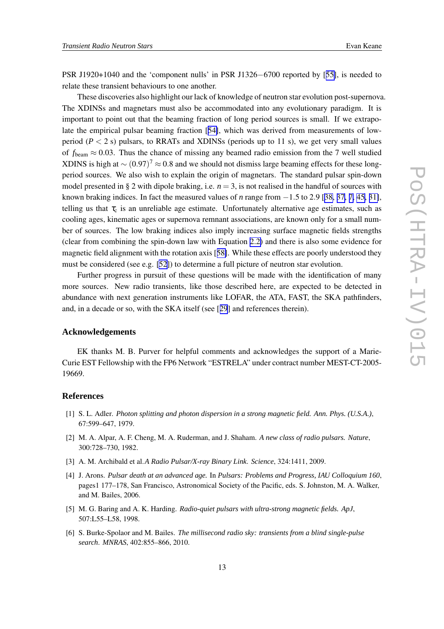<span id="page-12-0"></span>PSR J1920+1040 and the 'component nulls' in PSR J1326−6700 reported by [[55\]](#page-15-0), is needed to relate these transient behaviours to one another.

These discoveries also highlight our lack of knowledge of neutron star evolution post-supernova. The XDINSs and magnetars must also be accommodated into any evolutionary paradigm. It is important to point out that the beaming fraction of long period sources is small. If we extrapolate the empirical pulsar beaming fraction [[54\]](#page-15-0), which was derived from measurements of lowperiod ( $P < 2$  s) pulsars, to RRATs and XDINSs (periods up to 11 s), we get very small values of  $f_{\text{beam}} \approx 0.03$ . Thus the chance of missing any beamed radio emission from the 7 well studied XDINS is high at  $\sim (0.97)^7 \approx 0.8$  and we should not dismiss large beaming effects for these longperiod sources. We also wish to explain the origin of magnetars. The standard pulsar spin-down model presented in § 2 with dipole braking, i.e.  $n = 3$ , is not realised in the handful of sources with known braking indices. In fact the measured values of *n* range from −1.5 to 2.9 [[38,](#page-14-0) [37,](#page-14-0) [7,](#page-13-0) [45,](#page-14-0) [31\]](#page-14-0), telling us that  $\tau_c$  is an unreliable age estimate. Unfortunately alternative age estimates, such as cooling ages, kinematic ages or supernova remnant associations, are known only for a small number of sources. The low braking indices also imply increasing surface magnetic fields strengths (clear from combining the spin-down law with Equation [2.2\)](#page-2-0) and there is also some evidence for magnetic field alignment with the rotation axis [[58\]](#page-15-0). While these effects are poorly understood they must be considered (see e.g. [\[52](#page-15-0)]) to determine a full picture of neutron star evolution.

Further progress in pursuit of these questions will be made with the identification of many more sources. New radio transients, like those described here, are expected to be detected in abundance with next generation instruments like LOFAR, the ATA, FAST, the SKA pathfinders, and, in a decade or so, with the SKA itself (see [[29](#page-14-0)] and references therein).

## **Acknowledgements**

EK thanks M. B. Purver for helpful comments and acknowledges the support of a Marie-Curie EST Fellowship with the FP6 Network "ESTRELA" under contract number MEST-CT-2005- 19669.

## **References**

- [1] S. L. Adler. *Photon splitting and photon dispersion in a strong magnetic field. Ann. Phys. (U.S.A.)*, 67:599–647, 1979.
- [2] M. A. Alpar, A. F. Cheng, M. A. Ruderman, and J. Shaham. *A new class of radio pulsars. Nature*, 300:728–730, 1982.
- [3] A. M. Archibald et al.*A Radio Pulsar/X-ray Binary Link*. *Science*, 324:1411, 2009.
- [4] J. Arons. *Pulsar death at an advanced age.* In *Pulsars: Problems and Progress, IAU Colloquium 160*, pages1 177–178, San Francisco, Astronomical Society of the Pacific, eds. S. Johnston, M. A. Walker, and M. Bailes, 2006.
- [5] M. G. Baring and A. K. Harding. *Radio-quiet pulsars with ultra-strong magnetic fields. ApJ*, 507:L55–L58, 1998.
- [6] S. Burke-Spolaor and M. Bailes. *The millisecond radio sky: transients from a blind single-pulse search*. *MNRAS*, 402:855–866, 2010.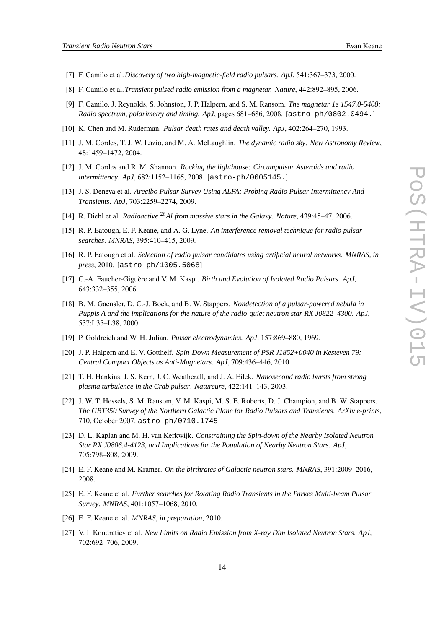- <span id="page-13-0"></span>[7] F. Camilo et al.*Discovery of two high-magnetic-field radio pulsars. ApJ*, 541:367–373, 2000.
- [8] F. Camilo et al.*Transient pulsed radio emission from a magnetar. Nature*, 442:892–895, 2006.
- [9] F. Camilo, J. Reynolds, S. Johnston, J. P. Halpern, and S. M. Ransom. *The magnetar 1e 1547.0-5408: Radio spectrum, polarimetry and timing. ApJ*, pages 681–686, 2008. [astro-ph/0802.0494.]
- [10] K. Chen and M. Ruderman. *Pulsar death rates and death valley. ApJ*, 402:264–270, 1993.
- [11] J. M. Cordes, T. J. W. Lazio, and M. A. McLaughlin. *The dynamic radio sky*. *New Astronomy Review*, 48:1459–1472, 2004.
- [12] J. M. Cordes and R. M. Shannon. *Rocking the lighthouse: Circumpulsar Asteroids and radio intermittency*. *ApJ*, 682:1152–1165, 2008. [astro-ph/0605145.]
- [13] J. S. Deneva et al. *Arecibo Pulsar Survey Using ALFA: Probing Radio Pulsar Intermittency And Transients*. *ApJ*, 703:2259–2274, 2009.
- [14] R. Diehl et al. *Radioactive* <sup>26</sup>*Al from massive stars in the Galaxy*. *Nature*, 439:45–47, 2006.
- [15] R. P. Eatough, E. F. Keane, and A. G. Lyne. *An interference removal technique for radio pulsar searches*. *MNRAS*, 395:410–415, 2009.
- [16] R. P. Eatough et al. *Selection of radio pulsar candidates using artificial neural networks*. *MNRAS, in press*, 2010. [astro-ph/1005.5068]
- [17] C.-A. Faucher-Giguère and V. M. Kaspi. *Birth and Evolution of Isolated Radio Pulsars*. *ApJ*, 643:332–355, 2006.
- [18] B. M. Gaensler, D. C.-J. Bock, and B. W. Stappers. *Nondetection of a pulsar-powered nebula in Puppis A and the implications for the nature of the radio-quiet neutron star RX J0822–4300*. *ApJ*, 537:L35–L38, 2000.
- [19] P. Goldreich and W. H. Julian. *Pulsar electrodynamics. ApJ*, 157:869–880, 1969.
- [20] J. P. Halpern and E. V. Gotthelf. *Spin-Down Measurement of PSR J1852+0040 in Kesteven 79: Central Compact Objects as Anti-Magnetars*. *ApJ*, 709:436–446, 2010.
- [21] T. H. Hankins, J. S. Kern, J. C. Weatherall, and J. A. Eilek. *Nanosecond radio bursts from strong plasma turbulence in the Crab pulsar*. *Natureure*, 422:141–143, 2003.
- [22] J. W. T. Hessels, S. M. Ransom, V. M. Kaspi, M. S. E. Roberts, D. J. Champion, and B. W. Stappers. *The GBT350 Survey of the Northern Galactic Plane for Radio Pulsars and Transients*. *ArXiv e-prints*, 710, October 2007. astro-ph/0710.1745
- [23] D. L. Kaplan and M. H. van Kerkwijk. *Constraining the Spin-down of the Nearby Isolated Neutron Star RX J0806.4-4123, and Implications for the Population of Nearby Neutron Stars*. *ApJ*, 705:798–808, 2009.
- [24] E. F. Keane and M. Kramer. *On the birthrates of Galactic neutron stars*. *MNRAS*, 391:2009–2016, 2008.
- [25] E. F. Keane et al. *Further searches for Rotating Radio Transients in the Parkes Multi-beam Pulsar Survey*. *MNRAS*, 401:1057–1068, 2010.
- [26] E. F. Keane et al. *MNRAS, in preparation*, 2010.
- [27] V. I. Kondratiev et al. *New Limits on Radio Emission from X-ray Dim Isolated Neutron Stars*. *ApJ*, 702:692–706, 2009.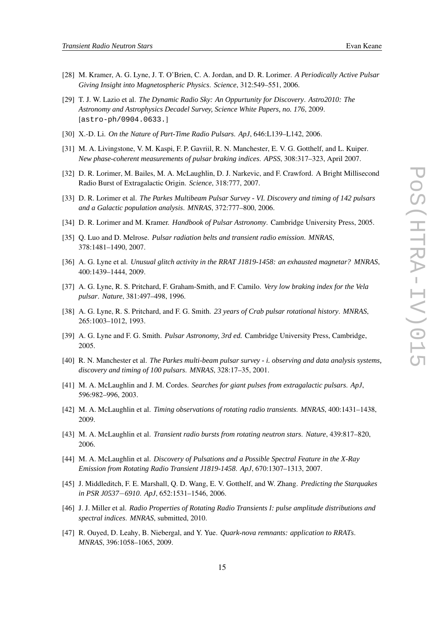- <span id="page-14-0"></span>[28] M. Kramer, A. G. Lyne, J. T. O'Brien, C. A. Jordan, and D. R. Lorimer. *A Periodically Active Pulsar Giving Insight into Magnetospheric Physics*. *Science*, 312:549–551, 2006.
- [29] T. J. W. Lazio et al. *The Dynamic Radio Sky: An Oppurtunity for Discovery*. *Astro2010: The Astronomy and Astrophysics Decadel Survey, Science White Papers, no. 176*, 2009. [astro-ph/0904.0633.]
- [30] X.-D. Li. *On the Nature of Part-Time Radio Pulsars*. *ApJ*, 646:L139–L142, 2006.
- [31] M. A. Livingstone, V. M. Kaspi, F. P. Gavriil, R. N. Manchester, E. V. G. Gotthelf, and L. Kuiper. *New phase-coherent measurements of pulsar braking indices*. *APSS*, 308:317–323, April 2007.
- [32] D. R. Lorimer, M. Bailes, M. A. McLaughlin, D. J. Narkevic, and F. Crawford. A Bright Millisecond Radio Burst of Extragalactic Origin. *Science*, 318:777, 2007.
- [33] D. R. Lorimer et al. *The Parkes Multibeam Pulsar Survey - VI. Discovery and timing of 142 pulsars and a Galactic population analysis*. *MNRAS*, 372:777–800, 2006.
- [34] D. R. Lorimer and M. Kramer. *Handbook of Pulsar Astronomy*. Cambridge University Press, 2005.
- [35] Q. Luo and D. Melrose. *Pulsar radiation belts and transient radio emission*. *MNRAS*, 378:1481–1490, 2007.
- [36] A. G. Lyne et al. *Unusual glitch activity in the RRAT J1819-1458: an exhausted magnetar? MNRAS*, 400:1439–1444, 2009.
- [37] A. G. Lyne, R. S. Pritchard, F. Graham-Smith, and F. Camilo. *Very low braking index for the Vela pulsar*. *Nature*, 381:497–498, 1996.
- [38] A. G. Lyne, R. S. Pritchard, and F. G. Smith. *23 years of Crab pulsar rotational history*. *MNRAS*, 265:1003–1012, 1993.
- [39] A. G. Lyne and F. G. Smith. *Pulsar Astronomy, 3rd ed.* Cambridge University Press, Cambridge, 2005.
- [40] R. N. Manchester et al. *The Parkes multi-beam pulsar survey - i. observing and data analysis systems, discovery and timing of 100 pulsars*. *MNRAS*, 328:17–35, 2001.
- [41] M. A. McLaughlin and J. M. Cordes. *Searches for giant pulses from extragalactic pulsars*. *ApJ*, 596:982–996, 2003.
- [42] M. A. McLaughlin et al. *Timing observations of rotating radio transients*. *MNRAS*, 400:1431–1438, 2009.
- [43] M. A. McLaughlin et al. *Transient radio bursts from rotating neutron stars*. *Nature*, 439:817–820, 2006.
- [44] M. A. McLaughlin et al. *Discovery of Pulsations and a Possible Spectral Feature in the X-Ray Emission from Rotating Radio Transient J1819-1458*. *ApJ*, 670:1307–1313, 2007.
- [45] J. Middleditch, F. E. Marshall, Q. D. Wang, E. V. Gotthelf, and W. Zhang. *Predicting the Starquakes in PSR J0537*−*6910*. *ApJ*, 652:1531–1546, 2006.
- [46] J. J. Miller et al. *Radio Properties of Rotating Radio Transients I: pulse amplitude distributions and spectral indices*. *MNRAS*, submitted, 2010.
- [47] R. Ouyed, D. Leahy, B. Niebergal, and Y. Yue. *Quark-nova remnants: application to RRATs*. *MNRAS*, 396:1058–1065, 2009.